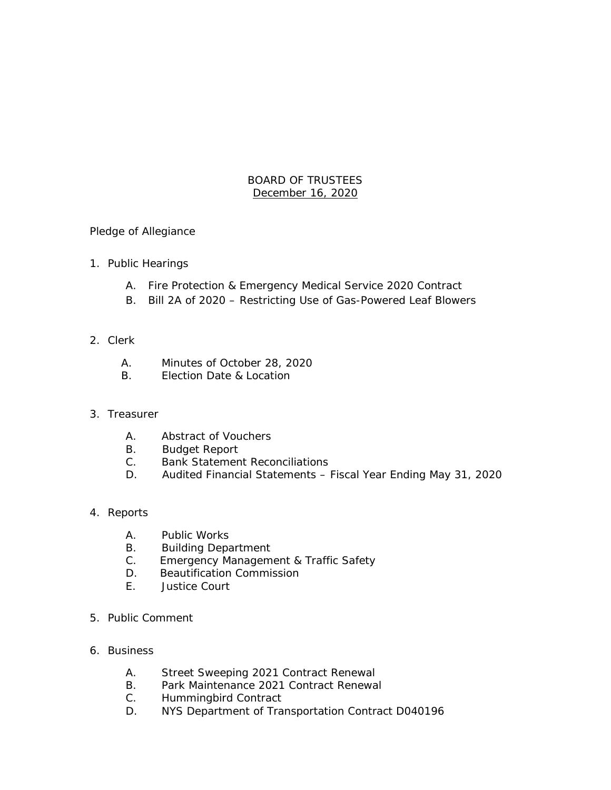## BOARD OF TRUSTEES December 16, 2020

### Pledge of Allegiance

- 1. Public Hearings
	- A. Fire Protection & Emergency Medical Service 2020 Contract
	- B. Bill 2A of 2020 Restricting Use of Gas-Powered Leaf Blowers

### 2. Clerk

- A. Minutes of October 28, 2020
- B. Election Date & Location

### 3. Treasurer

- A. Abstract of Vouchers
- B. Budget Report
- C. Bank Statement Reconciliations
- D. Audited Financial Statements Fiscal Year Ending May 31, 2020

### 4. Reports

- A. Public Works
- B. Building Department
- C. Emergency Management & Traffic Safety
- D. Beautification Commission
- E. Justice Court
- 5. Public Comment
- 6. Business
	- A. Street Sweeping 2021 Contract Renewal
	- B. Park Maintenance 2021 Contract Renewal
	- C. Hummingbird Contract
	- D. NYS Department of Transportation Contract D040196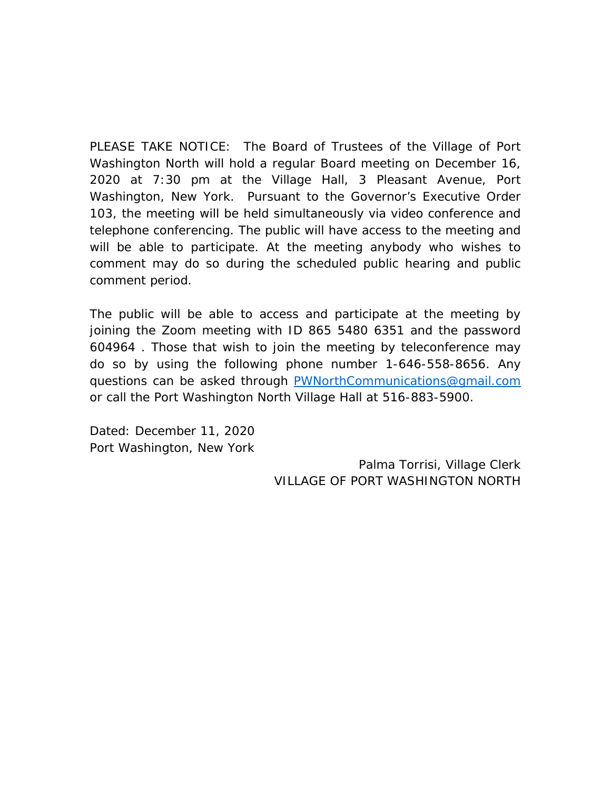PLEASE TAKE NOTICE: The Board of Trustees of the Village of Port Washington North will hold a regular Board meeting on December 16, 2020 at 7:30 pm at the Village Hall, 3 Pleasant Avenue, Port Washington, New York. Pursuant to the Governor's Executive Order 103, the meeting will be held simultaneously via video conference and telephone conferencing. The public will have access to the meeting and will be able to participate. At the meeting anybody who wishes to comment may do so during the scheduled public hearing and public comment period.

The public will be able to access and participate at the meeting by joining the Zoom meeting with ID 865 5480 6351 and the password 604964 . Those that wish to join the meeting by teleconference may do so by using the following phone number 1-646-558-8656. Any questions can be asked through [PWNorthCommunications@gmail.com](mailto:PWNorthCommunications@gmail.com)  or call the Port Washington North Village Hall at 516-883-5900.

Dated: December 11, 2020 Port Washington, New York

> Palma Torrisi, Village Clerk VILLAGE OF PORT WASHINGTON NORTH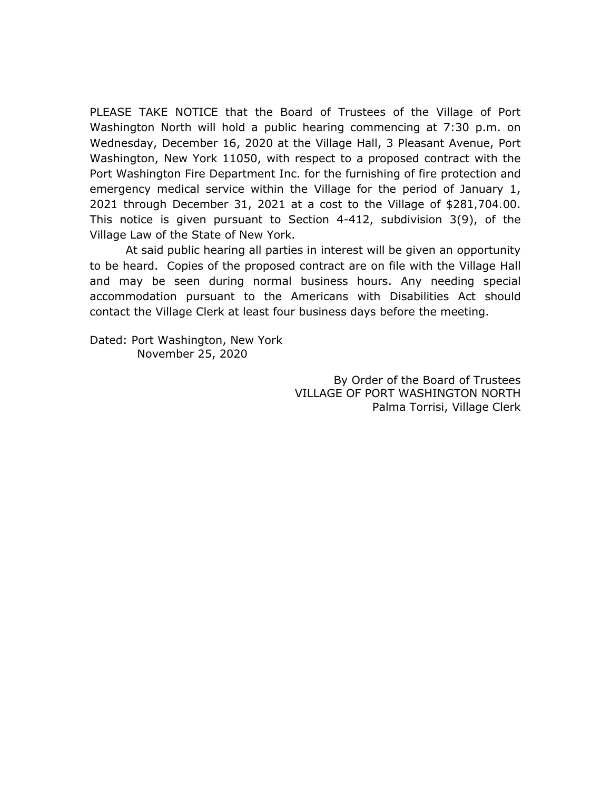PLEASE TAKE NOTICE that the Board of Trustees of the Village of Port Washington North will hold a public hearing commencing at 7:30 p.m. on Wednesday, December 16, 2020 at the Village Hall, 3 Pleasant Avenue, Port Washington, New York 11050, with respect to a proposed contract with the Port Washington Fire Department Inc. for the furnishing of fire protection and emergency medical service within the Village for the period of January 1, 2021 through December 31, 2021 at a cost to the Village of \$281,704.00. This notice is given pursuant to Section 4-412, subdivision 3(9), of the Village Law of the State of New York.

At said public hearing all parties in interest will be given an opportunity to be heard. Copies of the proposed contract are on file with the Village Hall and may be seen during normal business hours. Any needing special accommodation pursuant to the Americans with Disabilities Act should contact the Village Clerk at least four business days before the meeting.

Dated: Port Washington, New York November 25, 2020

> By Order of the Board of Trustees VILLAGE OF PORT WASHINGTON NORTH Palma Torrisi, Village Clerk